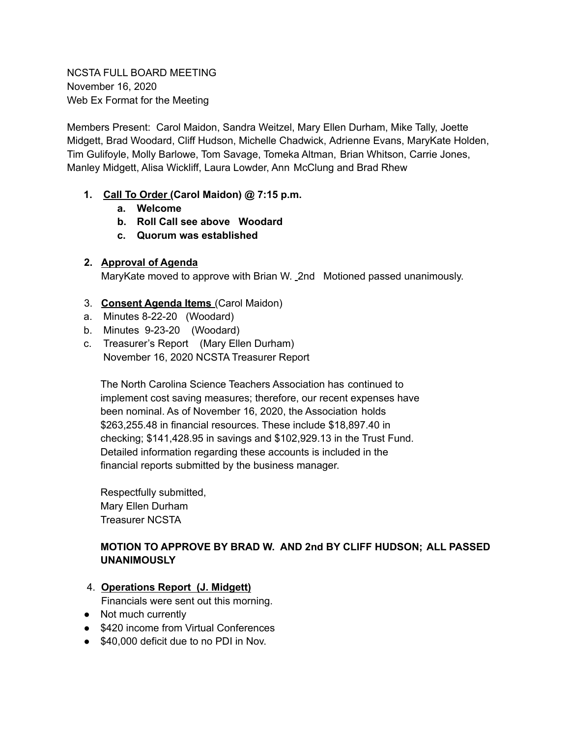NCSTA FULL BOARD MEETING November 16, 2020 Web Ex Format for the Meeting

Members Present: Carol Maidon, Sandra Weitzel, Mary Ellen Durham, Mike Tally, Joette Midgett, Brad Woodard, Cliff Hudson, Michelle Chadwick, Adrienne Evans, MaryKate Holden, Tim Gulifoyle, Molly Barlowe, Tom Savage, Tomeka Altman, Brian Whitson, Carrie Jones, Manley Midgett, Alisa Wickliff, Laura Lowder, Ann McClung and Brad Rhew

### **1. Call To Order (Carol Maidon) @ 7:15 p.m.**

- **a. Welcome**
- **b. Roll Call see above Woodard**
- **c. Quorum was established**

### **2. Approval of Agenda**

MaryKate moved to approve with Brian W. 2nd Motioned passed unanimously.

- 3. **Consent Agenda Items** (Carol Maidon)
- a. Minutes 8-22-20 (Woodard)
- b. Minutes 9-23-20 (Woodard)
- c. Treasurer's Report (Mary Ellen Durham) November 16, 2020 NCSTA Treasurer Report

The North Carolina Science Teachers Association has continued to implement cost saving measures; therefore, our recent expenses have been nominal. As of November 16, 2020, the Association holds \$263,255.48 in financial resources. These include \$18,897.40 in checking; \$141,428.95 in savings and \$102,929.13 in the Trust Fund. Detailed information regarding these accounts is included in the financial reports submitted by the business manager.

Respectfully submitted, Mary Ellen Durham Treasurer NCSTA

# **MOTION TO APPROVE BY BRAD W. AND 2nd BY CLIFF HUDSON; ALL PASSED UNANIMOUSLY**

4. **Operations Report (J. Midgett)**

Financials were sent out this morning.

- Not much currently
- \$420 income from Virtual Conferences
- \$40,000 deficit due to no PDI in Nov.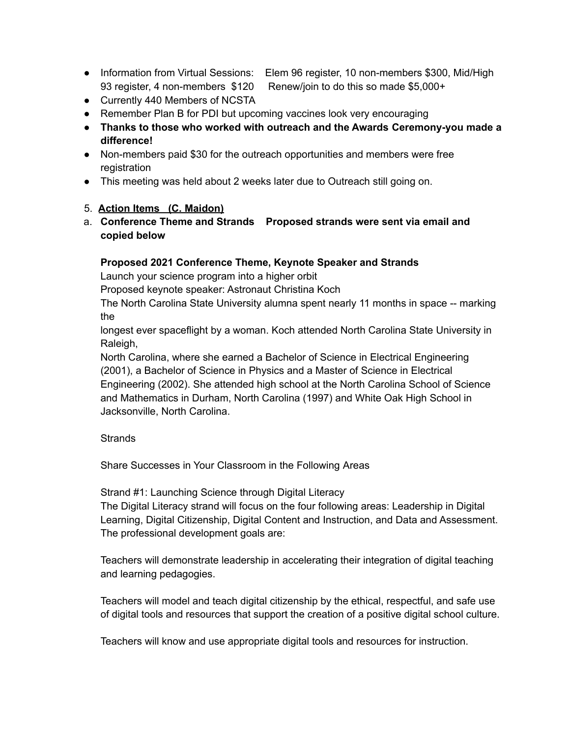- Information from Virtual Sessions: Elem 96 register, 10 non-members \$300, Mid/High 93 register, 4 non-members \$120 Renew/join to do this so made \$5,000+
- Currently 440 Members of NCSTA
- Remember Plan B for PDI but upcoming vaccines look very encouraging
- **● Thanks to those who worked with outreach and the Awards Ceremony-you made a difference!**
- Non-members paid \$30 for the outreach opportunities and members were free registration
- This meeting was held about 2 weeks later due to Outreach still going on.

### 5. **Action Items (C. Maidon)**

a. **Conference Theme and Strands Proposed strands were sent via email and copied below**

#### **Proposed 2021 Conference Theme, Keynote Speaker and Strands**

Launch your science program into a higher orbit

Proposed keynote speaker: Astronaut Christina Koch

The North Carolina State University alumna spent nearly 11 months in space -- marking the

longest ever spaceflight by a woman. Koch attended North Carolina State University in Raleigh,

North Carolina, where she earned a Bachelor of Science in Electrical Engineering (2001), a Bachelor of Science in Physics and a Master of Science in Electrical Engineering (2002). She attended high school at the North Carolina School of Science and Mathematics in Durham, North Carolina (1997) and White Oak High School in Jacksonville, North Carolina.

### **Strands**

Share Successes in Your Classroom in the Following Areas

Strand #1: Launching Science through Digital Literacy

The Digital Literacy strand will focus on the four following areas: Leadership in Digital Learning, Digital Citizenship, Digital Content and Instruction, and Data and Assessment. The professional development goals are:

Teachers will demonstrate leadership in accelerating their integration of digital teaching and learning pedagogies.

Teachers will model and teach digital citizenship by the ethical, respectful, and safe use of digital tools and resources that support the creation of a positive digital school culture.

Teachers will know and use appropriate digital tools and resources for instruction.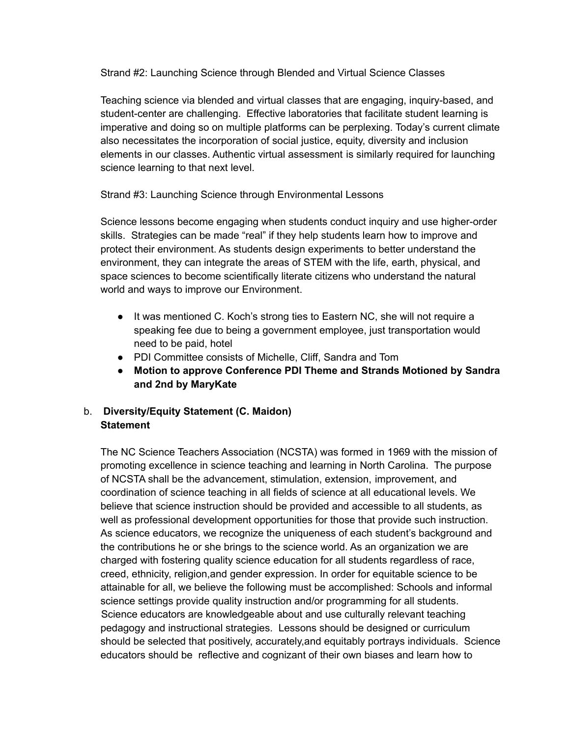Strand #2: Launching Science through Blended and Virtual Science Classes

Teaching science via blended and virtual classes that are engaging, inquiry-based, and student-center are challenging. Effective laboratories that facilitate student learning is imperative and doing so on multiple platforms can be perplexing. Today's current climate also necessitates the incorporation of social justice, equity, diversity and inclusion elements in our classes. Authentic virtual assessment is similarly required for launching science learning to that next level.

Strand #3: Launching Science through Environmental Lessons

Science lessons become engaging when students conduct inquiry and use higher-order skills. Strategies can be made "real" if they help students learn how to improve and protect their environment. As students design experiments to better understand the environment, they can integrate the areas of STEM with the life, earth, physical, and space sciences to become scientifically literate citizens who understand the natural world and ways to improve our Environment.

- It was mentioned C. Koch's strong ties to Eastern NC, she will not require a speaking fee due to being a government employee, just transportation would need to be paid, hotel
- PDI Committee consists of Michelle, Cliff, Sandra and Tom
- **● Motion to approve Conference PDI Theme and Strands Motioned by Sandra and 2nd by MaryKate**

# b. **Diversity/Equity Statement (C. Maidon) Statement**

The NC Science Teachers Association (NCSTA) was formed in 1969 with the mission of promoting excellence in science teaching and learning in North Carolina. The purpose of NCSTA shall be the advancement, stimulation, extension, improvement, and coordination of science teaching in all fields of science at all educational levels. We believe that science instruction should be provided and accessible to all students, as well as professional development opportunities for those that provide such instruction. As science educators, we recognize the uniqueness of each student's background and the contributions he or she brings to the science world. As an organization we are charged with fostering quality science education for all students regardless of race, creed, ethnicity, religion,and gender expression. In order for equitable science to be attainable for all, we believe the following must be accomplished: Schools and informal science settings provide quality instruction and/or programming for all students. Science educators are knowledgeable about and use culturally relevant teaching pedagogy and instructional strategies. Lessons should be designed or curriculum should be selected that positively, accurately,and equitably portrays individuals. Science educators should be reflective and cognizant of their own biases and learn how to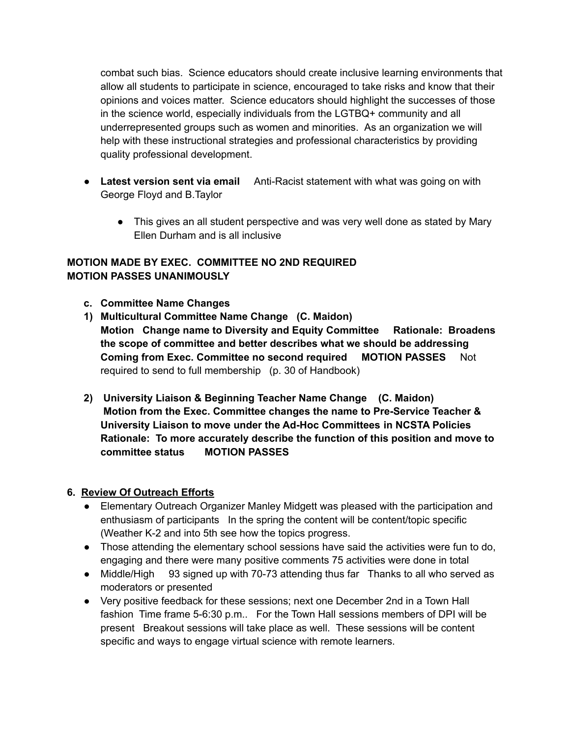combat such bias. Science educators should create inclusive learning environments that allow all students to participate in science, encouraged to take risks and know that their opinions and voices matter. Science educators should highlight the successes of those in the science world, especially individuals from the LGTBQ+ community and all underrepresented groups such as women and minorities. As an organization we will help with these instructional strategies and professional characteristics by providing quality professional development.

- **Latest version sent via email** Anti-Racist statement with what was going on with George Floyd and B.Taylor
	- This gives an all student perspective and was very well done as stated by Mary Ellen Durham and is all inclusive

## **MOTION MADE BY EXEC. COMMITTEE NO 2ND REQUIRED MOTION PASSES UNANIMOUSLY**

- **c. Committee Name Changes**
- **1) Multicultural Committee Name Change (C. Maidon) Motion Change name to Diversity and Equity Committee Rationale: Broadens the scope of committee and better describes what we should be addressing Coming from Exec. Committee no second required MOTION PASSES** Not required to send to full membership (p. 30 of Handbook)
- **2) University Liaison & Beginning Teacher Name Change (C. Maidon) Motion from the Exec. Committee changes the name to Pre-Service Teacher & University Liaison to move under the Ad-Hoc Committees in NCSTA Policies Rationale: To more accurately describe the function of this position and move to committee status MOTION PASSES**

### **6. Review Of Outreach Efforts**

- Elementary Outreach Organizer Manley Midgett was pleased with the participation and enthusiasm of participants In the spring the content will be content/topic specific (Weather K-2 and into 5th see how the topics progress.
- Those attending the elementary school sessions have said the activities were fun to do, engaging and there were many positive comments 75 activities were done in total
- Middle/High 93 signed up with 70-73 attending thus far Thanks to all who served as moderators or presented
- Very positive feedback for these sessions; next one December 2nd in a Town Hall fashion Time frame 5-6:30 p.m.. For the Town Hall sessions members of DPI will be present Breakout sessions will take place as well. These sessions will be content specific and ways to engage virtual science with remote learners.